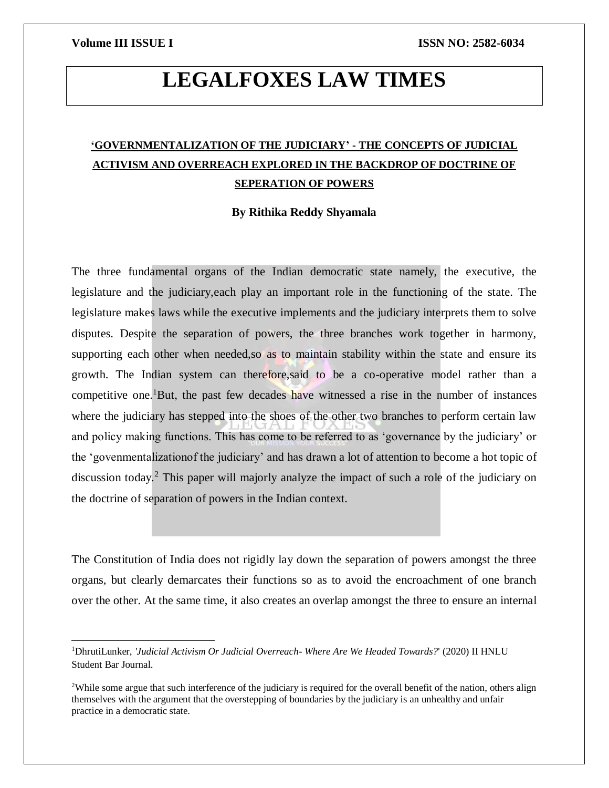$\overline{\phantom{a}}$ 

# **LEGALFOXES LAW TIMES**

## **'GOVERNMENTALIZATION OF THE JUDICIARY' - THE CONCEPTS OF JUDICIAL ACTIVISM AND OVERREACH EXPLORED IN THE BACKDROP OF DOCTRINE OF SEPERATION OF POWERS**

### **By Rithika Reddy Shyamala**

The three fundamental organs of the Indian democratic state namely, the executive, the legislature and the judiciary,each play an important role in the functioning of the state. The legislature makes laws while the executive implements and the judiciary interprets them to solve disputes. Despite the separation of powers, the three branches work together in harmony, supporting each other when needed,so as to maintain stability within the state and ensure its growth. The Indian system can therefore,said to be a co-operative model rather than a competitive one.<sup>1</sup>But, the past few decades have witnessed a rise in the number of instances where the judiciary has stepped into the shoes of the other two branches to perform certain law and policy making functions. This has come to be referred to as 'governance by the judiciary' or the 'govenmentalizationof the judiciary' and has drawn a lot of attention to become a hot topic of discussion today.<sup>2</sup> This paper will majorly analyze the impact of such a role of the judiciary on the doctrine of separation of powers in the Indian context.

The Constitution of India does not rigidly lay down the separation of powers amongst the three organs, but clearly demarcates their functions so as to avoid the encroachment of one branch over the other. At the same time, it also creates an overlap amongst the three to ensure an internal

<sup>1</sup>DhrutiLunker, *'Judicial Activism Or Judicial Overreach- Where Are We Headed Towards?*' (2020) II HNLU Student Bar Journal.

<sup>&</sup>lt;sup>2</sup>While some argue that such interference of the judiciary is required for the overall benefit of the nation, others align themselves with the argument that the overstepping of boundaries by the judiciary is an unhealthy and unfair practice in a democratic state.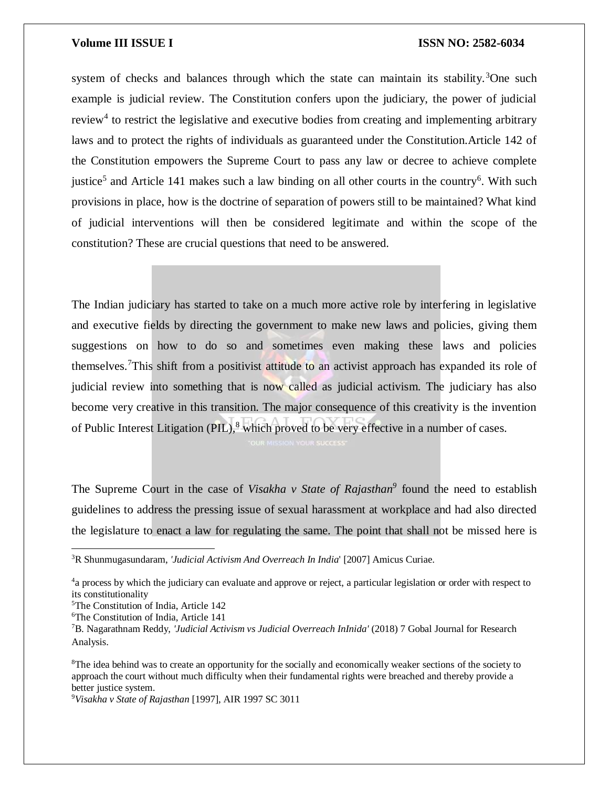system of checks and balances through which the state can maintain its stability.<sup>3</sup>One such example is judicial review. The Constitution confers upon the judiciary, the power of judicial review<sup>4</sup> to restrict the legislative and executive bodies from creating and implementing arbitrary laws and to protect the rights of individuals as guaranteed under the Constitution.Article 142 of the Constitution empowers the Supreme Court to pass any law or decree to achieve complete justice<sup>5</sup> and Article 141 makes such a law binding on all other courts in the country<sup>6</sup>. With such provisions in place, how is the doctrine of separation of powers still to be maintained? What kind of judicial interventions will then be considered legitimate and within the scope of the constitution? These are crucial questions that need to be answered.

The Indian judiciary has started to take on a much more active role by interfering in legislative and executive fields by directing the government to make new laws and policies, giving them suggestions on how to do so and sometimes even making these laws and policies themselves.<sup>7</sup>This shift from a positivist attitude to an activist approach has expanded its role of judicial review into something that is now called as judicial activism. The judiciary has also become very creative in this transition. The major consequence of this creativity is the invention of Public Interest Litigation (PIL), $^8$  which proved to be very effective in a number of cases.

The Supreme Court in the case of *Visakha v State of Rajasthan*<sup>9</sup> found the need to establish guidelines to address the pressing issue of sexual harassment at workplace and had also directed the legislature to enact a law for regulating the same. The point that shall not be missed here is

 $\overline{a}$ 

<sup>3</sup>R Shunmugasundaram, *'Judicial Activism And Overreach In India*' [2007] Amicus Curiae.

<sup>&</sup>lt;sup>4</sup>a process by which the judiciary can evaluate and approve or reject, a particular legislation or order with respect to its constitutionality

<sup>5</sup>The Constitution of India, Article 142

<sup>6</sup>The Constitution of India, Article 141

<sup>7</sup>B. Nagarathnam Reddy, *'Judicial Activism vs Judicial Overreach InInida'* (2018) 7 Gobal Journal for Research Analysis.

<sup>&</sup>lt;sup>8</sup>The idea behind was to create an opportunity for the socially and economically weaker sections of the society to approach the court without much difficulty when their fundamental rights were breached and thereby provide a better justice system.

<sup>9</sup>*Visakha v State of Rajasthan* [1997], AIR 1997 SC 3011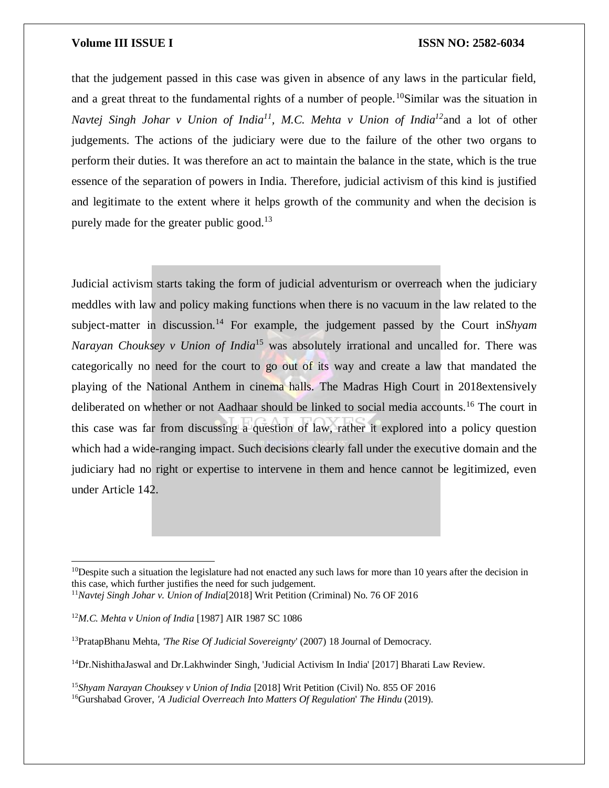that the judgement passed in this case was given in absence of any laws in the particular field, and a great threat to the fundamental rights of a number of people.<sup>10</sup>Similar was the situation in *Navtej Singh Johar v Union of India<sup>11</sup>, M.C. Mehta v Union of India<sup>12</sup>*and a lot of other judgements. The actions of the judiciary were due to the failure of the other two organs to perform their duties. It was therefore an act to maintain the balance in the state, which is the true essence of the separation of powers in India. Therefore, judicial activism of this kind is justified and legitimate to the extent where it helps growth of the community and when the decision is purely made for the greater public good.<sup>13</sup>

Judicial activism starts taking the form of judicial adventurism or overreach when the judiciary meddles with law and policy making functions when there is no vacuum in the law related to the subject-matter in discussion.<sup>14</sup> For example, the judgement passed by the Court in Shyam *Narayan Chouksey v Union of India*<sup>15</sup> was absolutely irrational and uncalled for. There was categorically no need for the court to go out of its way and create a law that mandated the playing of the National Anthem in cinema halls. The Madras High Court in 2018extensively deliberated on whether or not Aadhaar should be linked to social media accounts.<sup>16</sup> The court in this case was far from discussing a question of law, rather it explored into a policy question which had a wide-ranging impact. Such decisions clearly fall under the executive domain and the judiciary had no right or expertise to intervene in them and hence cannot be legitimized, even under Article 142.

 $\overline{a}$ 

 $10$ Despite such a situation the legislature had not enacted any such laws for more than 10 years after the decision in this case, which further justifies the need for such judgement.

<sup>11</sup>*Navtej Singh Johar v. Union of India*[2018] Writ Petition (Criminal) No. 76 OF 2016

<sup>12</sup>*M.C. Mehta v Union of India* [1987] AIR 1987 SC 1086

<sup>13</sup>PratapBhanu Mehta, *'The Rise Of Judicial Sovereignty*' (2007) 18 Journal of Democracy.

<sup>14</sup>Dr.NishithaJaswal and Dr.Lakhwinder Singh, 'Judicial Activism In India' [2017] Bharati Law Review.

<sup>15</sup>*Shyam Narayan Chouksey v Union of India* [2018] Writ Petition (Civil) No. 855 OF 2016 <sup>16</sup>Gurshabad Grover, *'A Judicial Overreach Into Matters Of Regulation*' *The Hindu* (2019).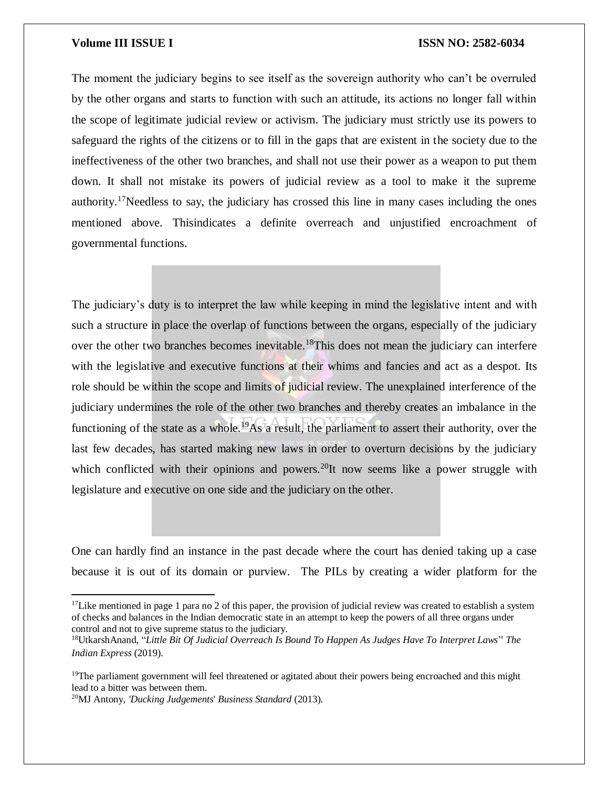The moment the judiciary begins to see itself as the sovereign authority who can't be overruled by the other organs and starts to function with such an attitude, its actions no longer fall within the scope of legitimate judicial review or activism. The judiciary must strictly use its powers to safeguard the rights of the citizens or to fill in the gaps that are existent in the society due to the ineffectiveness of the other two branches, and shall not use their power as a weapon to put them down. It shall not mistake its powers of judicial review as a tool to make it the supreme authority.<sup>17</sup>Needless to say, the judiciary has crossed this line in many cases including the ones mentioned above. Thisindicates a definite overreach and unjustified encroachment of governmental functions.

The judiciary's duty is to interpret the law while keeping in mind the legislative intent and with such a structure in place the overlap of functions between the organs, especially of the judiciary over the other two branches becomes inevitable.<sup>18</sup>This does not mean the judiciary can interfere with the legislative and executive functions at their whims and fancies and act as a despot. Its role should be within the scope and limits of judicial review. The unexplained interference of the judiciary undermines the role of the other two branches and thereby creates an imbalance in the functioning of the state as a whole.<sup>19</sup>As a result, the parliament to assert their authority, over the last few decades, has started making new laws in order to overturn decisions by the judiciary which conflicted with their opinions and powers.<sup>20</sup>It now seems like a power struggle with legislature and executive on one side and the judiciary on the other.

One can hardly find an instance in the past decade where the court has denied taking up a case because it is out of its domain or purview. The PILs by creating a wider platform for the

 $\overline{\phantom{a}}$ 

<sup>&</sup>lt;sup>17</sup>Like mentioned in page 1 para no 2 of this paper, the provision of judicial review was created to establish a system of checks and balances in the Indian democratic state in an attempt to keep the powers of all three organs under control and not to give supreme status to the judiciary.

<sup>18</sup>UtkarshAnand, "*Little Bit Of Judicial Overreach Is Bound To Happen As Judges Have To Interpret Laws*'' *The Indian Express* (2019).

<sup>&</sup>lt;sup>19</sup>The parliament government will feel threatened or agitated about their powers being encroached and this might lead to a bitter was between them.

<sup>20</sup>MJ Antony, *'Ducking Judgements*' *Business Standard* (2013).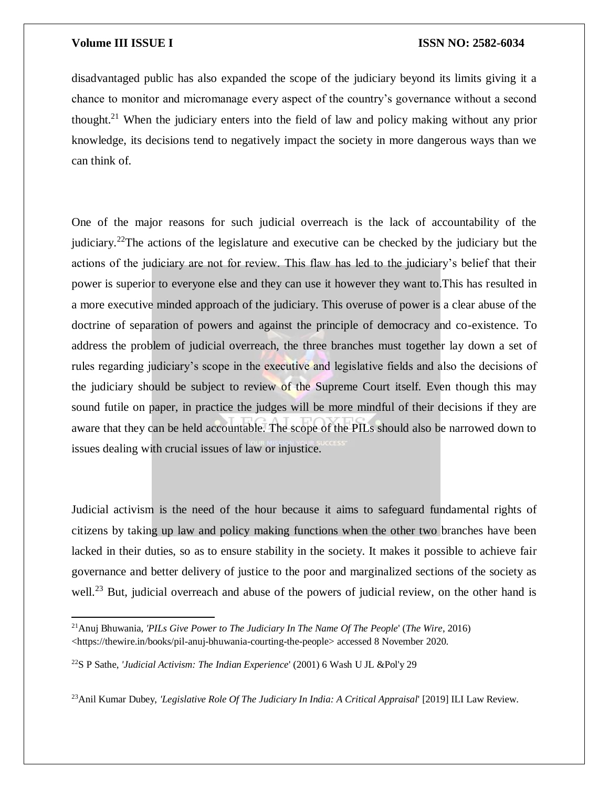$\overline{\phantom{a}}$ 

### **Volume III ISSUE I ISSN NO: 2582-6034**

disadvantaged public has also expanded the scope of the judiciary beyond its limits giving it a chance to monitor and micromanage every aspect of the country's governance without a second thought.<sup>21</sup> When the judiciary enters into the field of law and policy making without any prior knowledge, its decisions tend to negatively impact the society in more dangerous ways than we can think of.

One of the major reasons for such judicial overreach is the lack of accountability of the judiciary.<sup>22</sup>The actions of the legislature and executive can be checked by the judiciary but the actions of the judiciary are not for review. This flaw has led to the judiciary's belief that their power is superior to everyone else and they can use it however they want to.This has resulted in a more executive minded approach of the judiciary. This overuse of power is a clear abuse of the doctrine of separation of powers and against the principle of democracy and co-existence. To address the problem of judicial overreach, the three branches must together lay down a set of rules regarding judiciary's scope in the executive and legislative fields and also the decisions of the judiciary should be subject to review of the Supreme Court itself. Even though this may sound futile on paper, in practice the judges will be more mindful of their decisions if they are aware that they can be held accountable. The scope of the PILs should also be narrowed down to issues dealing with crucial issues of law or injustice.

Judicial activism is the need of the hour because it aims to safeguard fundamental rights of citizens by taking up law and policy making functions when the other two branches have been lacked in their duties, so as to ensure stability in the society. It makes it possible to achieve fair governance and better delivery of justice to the poor and marginalized sections of the society as well.<sup>23</sup> But, judicial overreach and abuse of the powers of judicial review, on the other hand is

<sup>21</sup>Anuj Bhuwania, *'PILs Give Power to The Judiciary In The Name Of The People*' (*The Wire*, 2016) <https://thewire.in/books/pil-anuj-bhuwania-courting-the-people> accessed 8 November 2020.

<sup>22</sup>S P Sathe, *'Judicial Activism: The Indian Experience*' (2001) 6 Wash U JL &Pol'y 29

<sup>23</sup>Anil Kumar Dubey, *'Legislative Role Of The Judiciary In India: A Critical Appraisal*' [2019] ILI Law Review.